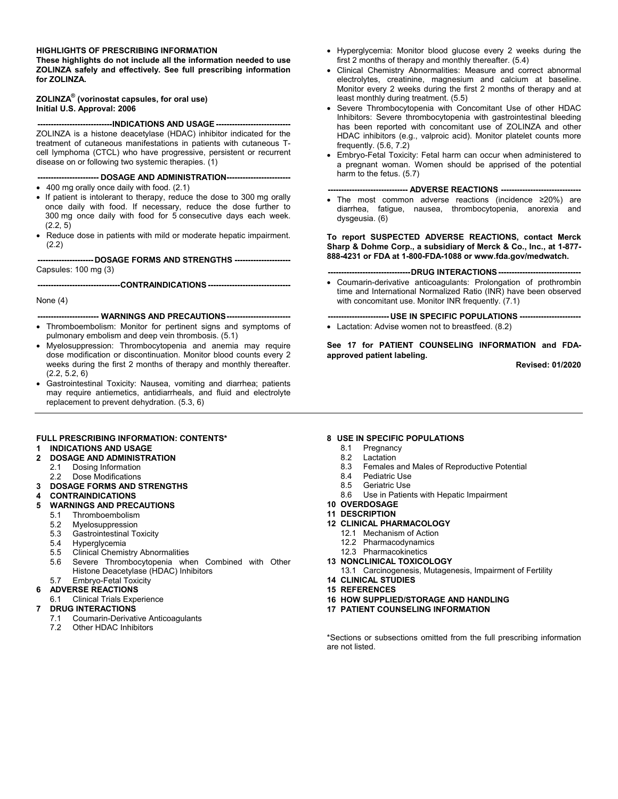#### **HIGHLIGHTS OF PRESCRIBING INFORMATION**

**These highlights do not include all the information needed to use ZOLINZA safely and effectively. See full prescribing information for ZOLINZA.** 

#### **ZOLINZA® (vorinostat capsules, for oral use) Initial U.S. Approval: 2006**

**----------------------------INDICATIONS AND USAGE----------------------------** ZOLINZA is a histone deacetylase (HDAC) inhibitor indicated for the treatment of cutaneous manifestations in patients with cutaneous Tcell lymphoma (CTCL) who have progressive, persistent or recurrent disease on or following two systemic therapies. (1)

**----------------------- DOSAGE AND ADMINISTRATION------------------------**

- 400 mg orally once daily with food. (2.1)
- If patient is intolerant to therapy, reduce the dose to 300 mg orally once daily with food. If necessary, reduce the dose further to 300 mg once daily with food for 5 consecutive days each week. (2.2, 5)
- Reduce dose in patients with mild or moderate hepatic impairment. (2.2)

**--------------------- DOSAGE FORMS AND STRENGTHS ---------------------** Capsules: 100 mg (3)

**-------------------------------CONTRAINDICATIONS-------------------------------**

#### None (4)

#### **----------------------- WARNINGS AND PRECAUTIONS------------------------**

- Thromboembolism: Monitor for pertinent signs and symptoms of pulmonary embolism and deep vein thrombosis. (5.1)
- Myelosuppression: Thrombocytopenia and anemia may require dose modification or discontinuation. Monitor blood counts every 2 weeks during the first 2 months of therapy and monthly thereafter. (2.2, 5.2, 6)
- Gastrointestinal Toxicity: Nausea, vomiting and diarrhea; patients may require antiemetics, antidiarrheals, and fluid and electrolyte replacement to prevent dehydration. (5.3, 6)

### **FULL PRESCRIBING INFORMATION: CONTENTS\***

# **1 INDICATIONS AND USAGE**

# **2 DOSAGE AND ADMINISTRATION**

- 2.1 Dosing Information
- 2.2 Dose Modifications
- **3 DOSAGE FORMS AND STRENGTHS**
- **4 CONTRAINDICATIONS**

#### **5 WARNINGS AND PRECAUTIONS**

- 5.1 Thromboembolism
- 5.2 Myelosuppression
- 5.3 Gastrointestinal Toxicity
- 5.4 Hyperglycemia
- 5.5 Clinical Chemistry Abnormalities
- 5.6 Severe Thrombocytopenia when Combined with Other Histone Deacetylase (HDAC) Inhibitors

#### 5.7 Embryo-Fetal Toxicity

- **6 ADVERSE REACTIONS**
	- 6.1 Clinical Trials Experience

#### **7 DRUG INTERACTIONS**

- 7.1 Coumarin-Derivative Anticoagulants
- 7.2 Other HDAC Inhibitors
- Hyperglycemia: Monitor blood glucose every 2 weeks during the first 2 months of therapy and monthly thereafter. (5.4)
- Clinical Chemistry Abnormalities: Measure and correct abnormal electrolytes, creatinine, magnesium and calcium at baseline. Monitor every 2 weeks during the first 2 months of therapy and at least monthly during treatment. (5.5)
- Severe Thrombocytopenia with Concomitant Use of other HDAC Inhibitors: Severe thrombocytopenia with gastrointestinal bleeding has been reported with concomitant use of ZOLINZA and other HDAC inhibitors (e.g., valproic acid). Monitor platelet counts more frequently. (5.6, 7.2)
- Embryo-Fetal Toxicity: Fetal harm can occur when administered to a pregnant woman. Women should be apprised of the potential harm to the fetus. (5.7)
- **------------------------------ ADVERSE REACTIONS ------------------------------**
- The most common adverse reactions (incidence ≥20%) are diarrhea, fatigue, nausea, thrombocytopenia, anorexia and dysgeusia. (6)

#### **To report SUSPECTED ADVERSE REACTIONS, contact Merck Sharp & Dohme Corp., a subsidiary of Merck & Co., Inc., at 1-877- 888-4231 or FDA at 1-800-FDA-1088 or www.fda.gov/medwatch.**

- **-------------------------------DRUG INTERACTIONS-------------------------------**
- Coumarin-derivative anticoagulants: Prolongation of prothrombin time and International Normalized Ratio (INR) have been observed with concomitant use. Monitor INR frequently. (7.1)

**----------------------- USE IN SPECIFIC POPULATIONS -----------------------** Lactation: Advise women not to breastfeed. (8.2)

**See 17 for PATIENT COUNSELING INFORMATION and FDAapproved patient labeling.**

**Revised: 01/2020**

#### **8 USE IN SPECIFIC POPULATIONS**

#### 8.1 Pregnancy

- 8.2 Lactation
- 8.3 Females and Males of Reproductive Potential
- 8.4 Pediatric Use
- 8.5 Geriatric Use
- 8.6 Use in Patients with Hepatic Impairment
- **10 OVERDOSAGE**
- **11 DESCRIPTION**
- **12 CLINICAL PHARMACOLOGY**
	- 12.1 Mechanism of Action
	- 12.2 Pharmacodynamics
	- 12.3 Pharmacokinetics
- **13 NONCLINICAL TOXICOLOGY**
- 13.1 Carcinogenesis, Mutagenesis, Impairment of Fertility **14 CLINICAL STUDIES**
- **15 REFERENCES**
- **16 HOW SUPPLIED/STORAGE AND HANDLING**
- **17 PATIENT COUNSELING INFORMATION**
- 

\*Sections or subsections omitted from the full prescribing information are not listed.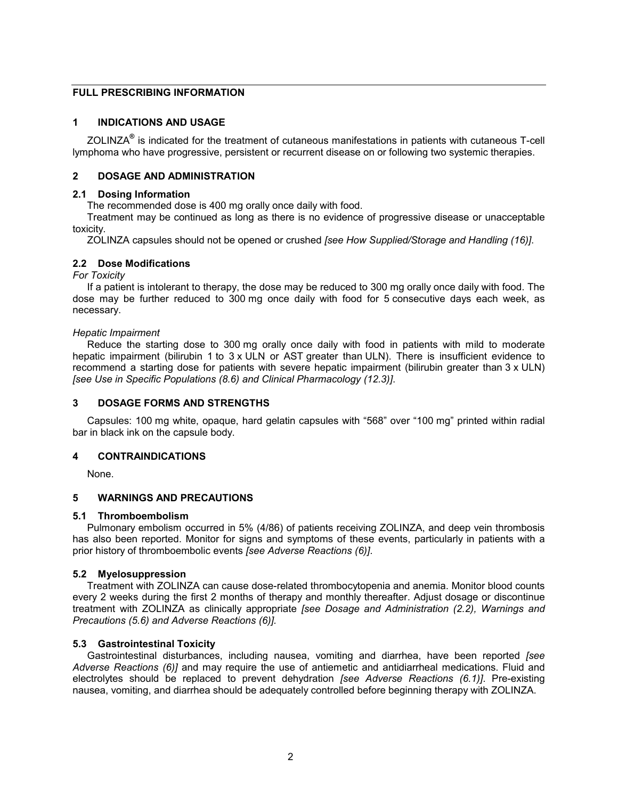# **FULL PRESCRIBING INFORMATION**

# **1 INDICATIONS AND USAGE**

ZOLINZA**®** is indicated for the treatment of cutaneous manifestations in patients with cutaneous T-cell lymphoma who have progressive, persistent or recurrent disease on or following two systemic therapies.

# **2 DOSAGE AND ADMINISTRATION**

### **2.1 Dosing Information**

The recommended dose is 400 mg orally once daily with food.

Treatment may be continued as long as there is no evidence of progressive disease or unacceptable toxicity.

ZOLINZA capsules should not be opened or crushed *[see How Supplied/Storage and Handling (16)]*.

# **2.2 Dose Modifications**

*For Toxicity*

If a patient is intolerant to therapy, the dose may be reduced to 300 mg orally once daily with food. The dose may be further reduced to 300 mg once daily with food for 5 consecutive days each week, as necessary.

### *Hepatic Impairment*

Reduce the starting dose to 300 mg orally once daily with food in patients with mild to moderate hepatic impairment (bilirubin 1 to 3 x ULN or AST greater than ULN). There is insufficient evidence to recommend a starting dose for patients with severe hepatic impairment (bilirubin greater than 3 x ULN) *[see Use in Specific Populations (8.6) and Clinical Pharmacology (12.3)]*.

### **3 DOSAGE FORMS AND STRENGTHS**

Capsules: 100 mg white, opaque, hard gelatin capsules with "568" over "100 mg" printed within radial bar in black ink on the capsule body.

# **4 CONTRAINDICATIONS**

None.

# **5 WARNINGS AND PRECAUTIONS**

# **5.1 Thromboembolism**

Pulmonary embolism occurred in 5% (4/86) of patients receiving ZOLINZA, and deep vein thrombosis has also been reported. Monitor for signs and symptoms of these events, particularly in patients with a prior history of thromboembolic events *[see Adverse Reactions (6)]*.

# **5.2 Myelosuppression**

Treatment with ZOLINZA can cause dose-related thrombocytopenia and anemia. Monitor blood counts every 2 weeks during the first 2 months of therapy and monthly thereafter. Adjust dosage or discontinue treatment with ZOLINZA as clinically appropriate *[see Dosage and Administration (2.2), Warnings and Precautions (5.6) and Adverse Reactions (6)].*

# **5.3 Gastrointestinal Toxicity**

Gastrointestinal disturbances, including nausea, vomiting and diarrhea, have been reported *[see Adverse Reactions (6)]* and may require the use of antiemetic and antidiarrheal medications. Fluid and electrolytes should be replaced to prevent dehydration *[see Adverse Reactions (6.1)]*. Pre-existing nausea, vomiting, and diarrhea should be adequately controlled before beginning therapy with ZOLINZA.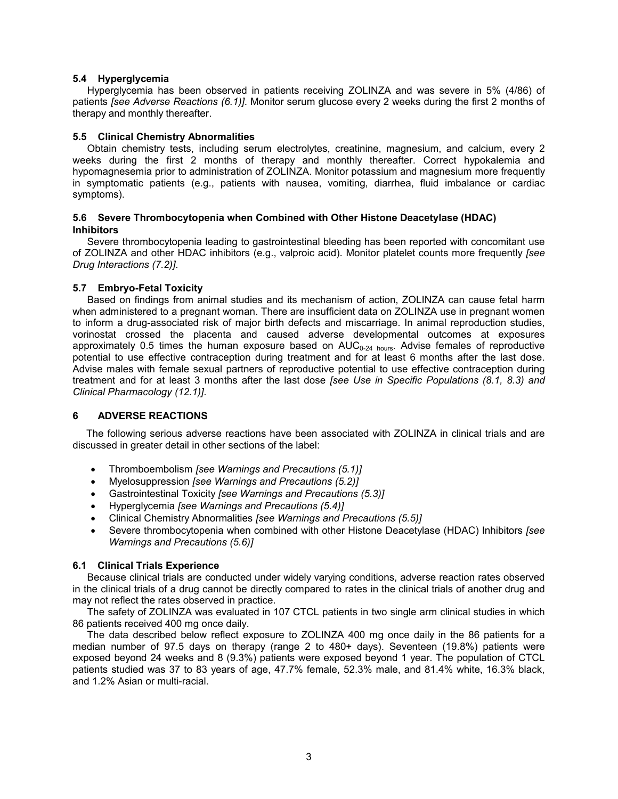### **5.4 Hyperglycemia**

Hyperglycemia has been observed in patients receiving ZOLINZA and was severe in 5% (4/86) of patients *[see Adverse Reactions (6.1)]*. Monitor serum glucose every 2 weeks during the first 2 months of therapy and monthly thereafter.

### **5.5 Clinical Chemistry Abnormalities**

Obtain chemistry tests, including serum electrolytes, creatinine, magnesium, and calcium, every 2 weeks during the first 2 months of therapy and monthly thereafter. Correct hypokalemia and hypomagnesemia prior to administration of ZOLINZA. Monitor potassium and magnesium more frequently in symptomatic patients (e.g., patients with nausea, vomiting, diarrhea, fluid imbalance or cardiac symptoms).

#### **5.6 Severe Thrombocytopenia when Combined with Other Histone Deacetylase (HDAC) Inhibitors**

Severe thrombocytopenia leading to gastrointestinal bleeding has been reported with concomitant use of ZOLINZA and other HDAC inhibitors (e.g., valproic acid). Monitor platelet counts more frequently *[see Drug Interactions (7.2)]*.

# **5.7 Embryo-Fetal Toxicity**

Based on findings from animal studies and its mechanism of action, ZOLINZA can cause fetal harm when administered to a pregnant woman. There are insufficient data on ZOLINZA use in pregnant women to inform a drug-associated risk of major birth defects and miscarriage. In animal reproduction studies, vorinostat crossed the placenta and caused adverse developmental outcomes at exposures approximately 0.5 times the human exposure based on  $AUC_{0.24}$  hours. Advise females of reproductive potential to use effective contraception during treatment and for at least 6 months after the last dose. Advise males with female sexual partners of reproductive potential to use effective contraception during treatment and for at least 3 months after the last dose *[see Use in Specific Populations (8.1, 8.3) and Clinical Pharmacology (12.1)]*.

# **6 ADVERSE REACTIONS**

The following serious adverse reactions have been associated with ZOLINZA in clinical trials and are discussed in greater detail in other sections of the label:

- Thromboembolism *[see Warnings and Precautions (5.1)]*
- Myelosuppression *[see Warnings and Precautions (5.2)]*
- Gastrointestinal Toxicity *[see Warnings and Precautions (5.3)]*
- Hyperglycemia *[see Warnings and Precautions (5.4)]*
- Clinical Chemistry Abnormalities *[see Warnings and Precautions (5.5)]*
- Severe thrombocytopenia when combined with other Histone Deacetylase (HDAC) Inhibitors *[see Warnings and Precautions (5.6)]*

# **6.1 Clinical Trials Experience**

Because clinical trials are conducted under widely varying conditions, adverse reaction rates observed in the clinical trials of a drug cannot be directly compared to rates in the clinical trials of another drug and may not reflect the rates observed in practice.

The safety of ZOLINZA was evaluated in 107 CTCL patients in two single arm clinical studies in which 86 patients received 400 mg once daily.

The data described below reflect exposure to ZOLINZA 400 mg once daily in the 86 patients for a median number of 97.5 days on therapy (range 2 to 480+ days). Seventeen (19.8%) patients were exposed beyond 24 weeks and 8 (9.3%) patients were exposed beyond 1 year. The population of CTCL patients studied was 37 to 83 years of age, 47.7% female, 52.3% male, and 81.4% white, 16.3% black, and 1.2% Asian or multi-racial.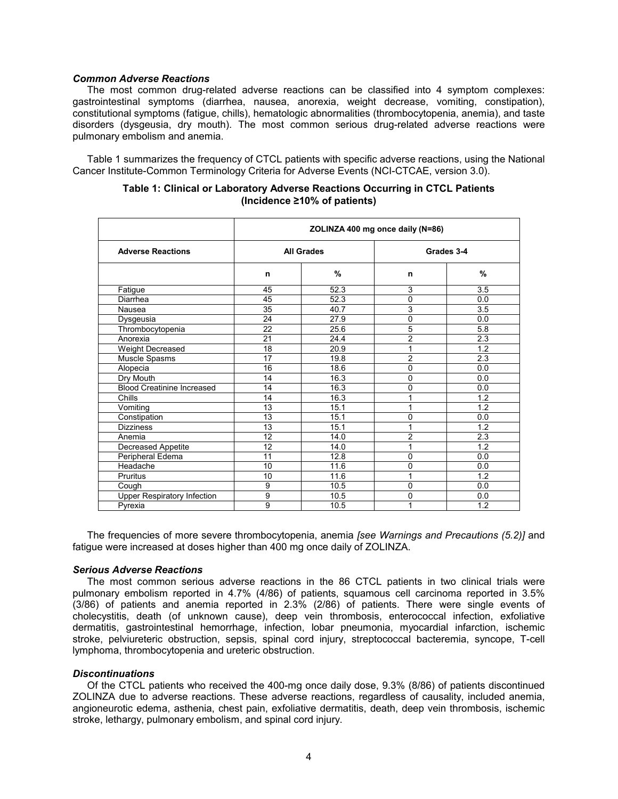#### *Common Adverse Reactions*

The most common drug-related adverse reactions can be classified into 4 symptom complexes: gastrointestinal symptoms (diarrhea, nausea, anorexia, weight decrease, vomiting, constipation), constitutional symptoms (fatigue, chills), hematologic abnormalities (thrombocytopenia, anemia), and taste disorders (dysgeusia, dry mouth). The most common serious drug-related adverse reactions were pulmonary embolism and anemia.

Table 1 summarizes the frequency of CTCL patients with specific adverse reactions, using the National Cancer Institute-Common Terminology Criteria for Adverse Events (NCI-CTCAE, version 3.0).

|                                    | ZOLINZA 400 mg once daily (N=86) |               |                |      |
|------------------------------------|----------------------------------|---------------|----------------|------|
| <b>Adverse Reactions</b>           | <b>All Grades</b>                |               | Grades 3-4     |      |
|                                    | n                                | $\frac{0}{0}$ | n              | $\%$ |
| Fatigue                            | 45                               | 52.3          | 3              | 3.5  |
| Diarrhea                           | 45                               | 52.3          | $\mathbf 0$    | 0.0  |
| Nausea                             | 35                               | 40.7          | $\mathsf 3$    | 3.5  |
| Dysgeusia                          | 24                               | 27.9          | 0              | 0.0  |
| Thrombocytopenia                   | 22                               | 25.6          | $\overline{5}$ | 5.8  |
| Anorexia                           | 21                               | 24.4          | $\overline{2}$ | 2.3  |
| <b>Weight Decreased</b>            | 18                               | 20.9          | 1              | 1.2  |
| Muscle Spasms                      | 17                               | 19.8          | $\overline{2}$ | 2.3  |
| Alopecia                           | 16                               | 18.6          | 0              | 0.0  |
| Dry Mouth                          | 14                               | 16.3          | $\mathbf{0}$   | 0.0  |
| <b>Blood Creatinine Increased</b>  | 14                               | 16.3          | $\mathbf{0}$   | 0.0  |
| Chills                             | 14                               | 16.3          | 1              | 1.2  |
| Vomiting                           | 13                               | 15.1          | 1              | 1.2  |
| Constipation                       | 13                               | 15.1          | 0              | 0.0  |
| <b>Dizziness</b>                   | 13                               | 15.1          | 1              | 1.2  |
| Anemia                             | 12                               | 14.0          | $\overline{c}$ | 2.3  |
| Decreased Appetite                 | 12                               | 14.0          | 1              | 1.2  |
| Peripheral Edema                   | 11                               | 12.8          | 0              | 0.0  |
| Headache                           | 10                               | 11.6          | 0              | 0.0  |
| Pruritus                           | 10                               | 11.6          | 1              | 1.2  |
| Cough                              | 9                                | 10.5          | 0              | 0.0  |
| <b>Upper Respiratory Infection</b> | 9                                | 10.5          | 0              | 0.0  |
| Pyrexia                            | 9                                | 10.5          | 1              | 1.2  |

#### **Table 1: Clinical or Laboratory Adverse Reactions Occurring in CTCL Patients (Incidence ≥10% of patients)**

The frequencies of more severe thrombocytopenia, anemia *[see Warnings and Precautions (5.2)]* and fatigue were increased at doses higher than 400 mg once daily of ZOLINZA.

#### *Serious Adverse Reactions*

The most common serious adverse reactions in the 86 CTCL patients in two clinical trials were pulmonary embolism reported in 4.7% (4/86) of patients, squamous cell carcinoma reported in 3.5% (3/86) of patients and anemia reported in 2.3% (2/86) of patients. There were single events of cholecystitis, death (of unknown cause), deep vein thrombosis, enterococcal infection, exfoliative dermatitis, gastrointestinal hemorrhage, infection, lobar pneumonia, myocardial infarction, ischemic stroke, pelviureteric obstruction, sepsis, spinal cord injury, streptococcal bacteremia, syncope, T-cell lymphoma, thrombocytopenia and ureteric obstruction.

#### *Discontinuations*

Of the CTCL patients who received the 400-mg once daily dose, 9.3% (8/86) of patients discontinued ZOLINZA due to adverse reactions. These adverse reactions, regardless of causality, included anemia, angioneurotic edema, asthenia, chest pain, exfoliative dermatitis, death, deep vein thrombosis, ischemic stroke, lethargy, pulmonary embolism, and spinal cord injury.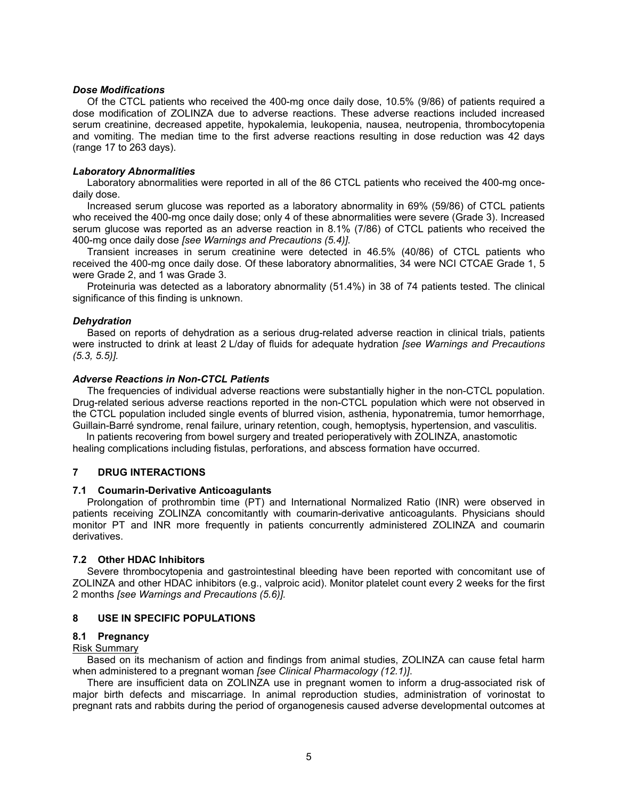#### *Dose Modifications*

Of the CTCL patients who received the 400-mg once daily dose, 10.5% (9/86) of patients required a dose modification of ZOLINZA due to adverse reactions. These adverse reactions included increased serum creatinine, decreased appetite, hypokalemia, leukopenia, nausea, neutropenia, thrombocytopenia and vomiting. The median time to the first adverse reactions resulting in dose reduction was 42 days (range 17 to 263 days).

### *Laboratory Abnormalities*

Laboratory abnormalities were reported in all of the 86 CTCL patients who received the 400-mg oncedaily dose.

Increased serum glucose was reported as a laboratory abnormality in 69% (59/86) of CTCL patients who received the 400-mg once daily dose; only 4 of these abnormalities were severe (Grade 3). Increased serum glucose was reported as an adverse reaction in 8.1% (7/86) of CTCL patients who received the 400-mg once daily dose *[see Warnings and Precautions (5.4)].*

Transient increases in serum creatinine were detected in 46.5% (40/86) of CTCL patients who received the 400-mg once daily dose. Of these laboratory abnormalities, 34 were NCI CTCAE Grade 1, 5 were Grade 2, and 1 was Grade 3.

Proteinuria was detected as a laboratory abnormality (51.4%) in 38 of 74 patients tested. The clinical significance of this finding is unknown.

# *Dehydration*

Based on reports of dehydration as a serious drug-related adverse reaction in clinical trials, patients were instructed to drink at least 2 L/day of fluids for adequate hydration *[see Warnings and Precautions (5.3, 5.5)].*

### *Adverse Reactions in Non-CTCL Patients*

The frequencies of individual adverse reactions were substantially higher in the non-CTCL population. Drug-related serious adverse reactions reported in the non-CTCL population which were not observed in the CTCL population included single events of blurred vision, asthenia, hyponatremia, tumor hemorrhage, Guillain-Barré syndrome, renal failure, urinary retention, cough, hemoptysis, hypertension, and vasculitis.

In patients recovering from bowel surgery and treated perioperatively with ZOLINZA, anastomotic healing complications including fistulas, perforations, and abscess formation have occurred.

# **7 DRUG INTERACTIONS**

# **7.1 Coumarin-Derivative Anticoagulants**

Prolongation of prothrombin time (PT) and International Normalized Ratio (INR) were observed in patients receiving ZOLINZA concomitantly with coumarin-derivative anticoagulants. Physicians should monitor PT and INR more frequently in patients concurrently administered ZOLINZA and coumarin derivatives.

# **7.2 Other HDAC Inhibitors**

Severe thrombocytopenia and gastrointestinal bleeding have been reported with concomitant use of ZOLINZA and other HDAC inhibitors (e.g., valproic acid). Monitor platelet count every 2 weeks for the first 2 months *[see Warnings and Precautions (5.6)].*

# **8 USE IN SPECIFIC POPULATIONS**

# **8.1 Pregnancy**

# Risk Summary

Based on its mechanism of action and findings from animal studies, ZOLINZA can cause fetal harm when administered to a pregnant woman *[see Clinical Pharmacology (12.1)]*.

There are insufficient data on ZOLINZA use in pregnant women to inform a drug-associated risk of major birth defects and miscarriage. In animal reproduction studies, administration of vorinostat to pregnant rats and rabbits during the period of organogenesis caused adverse developmental outcomes at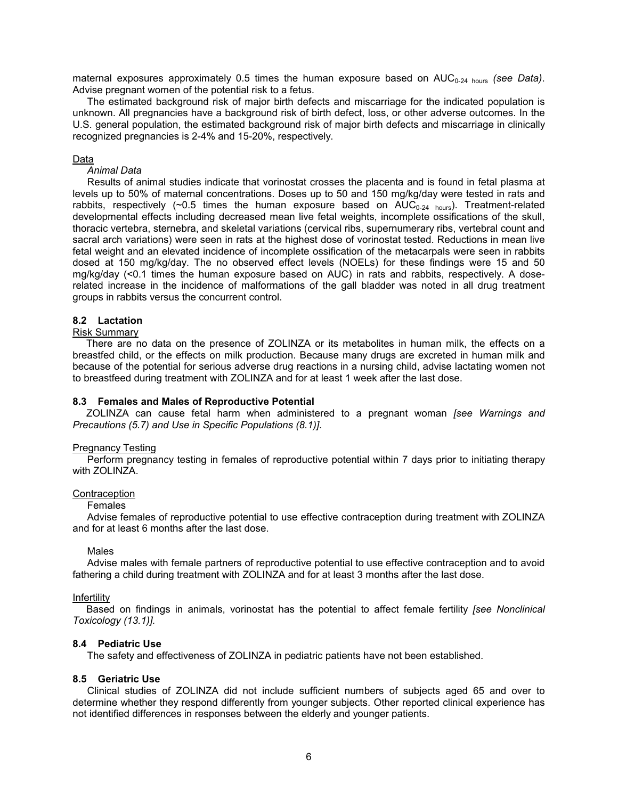maternal exposures approximately 0.5 times the human exposure based on AUC<sub>0-24 hours</sub> *(see Data)*. Advise pregnant women of the potential risk to a fetus.

The estimated background risk of major birth defects and miscarriage for the indicated population is unknown. All pregnancies have a background risk of birth defect, loss, or other adverse outcomes. In the U.S. general population, the estimated background risk of major birth defects and miscarriage in clinically recognized pregnancies is 2-4% and 15-20%, respectively.

### Data

### *Animal Data*

Results of animal studies indicate that vorinostat crosses the placenta and is found in fetal plasma at levels up to 50% of maternal concentrations. Doses up to 50 and 150 mg/kg/day were tested in rats and rabbits, respectively (~0.5 times the human exposure based on  $AUC_{0-24}$  hours). Treatment-related developmental effects including decreased mean live fetal weights, incomplete ossifications of the skull, thoracic vertebra, sternebra, and skeletal variations (cervical ribs, supernumerary ribs, vertebral count and sacral arch variations) were seen in rats at the highest dose of vorinostat tested. Reductions in mean live fetal weight and an elevated incidence of incomplete ossification of the metacarpals were seen in rabbits dosed at 150 mg/kg/day. The no observed effect levels (NOELs) for these findings were 15 and 50 mg/kg/day (<0.1 times the human exposure based on AUC) in rats and rabbits, respectively. A doserelated increase in the incidence of malformations of the gall bladder was noted in all drug treatment groups in rabbits versus the concurrent control.

# **8.2 Lactation**

### Risk Summary

There are no data on the presence of ZOLINZA or its metabolites in human milk, the effects on a breastfed child, or the effects on milk production. Because many drugs are excreted in human milk and because of the potential for serious adverse drug reactions in a nursing child, advise lactating women not to breastfeed during treatment with ZOLINZA and for at least 1 week after the last dose.

#### **8.3 Females and Males of Reproductive Potential**

ZOLINZA can cause fetal harm when administered to a pregnant woman *[see Warnings and Precautions (5.7) and Use in Specific Populations (8.1)]*.

#### Pregnancy Testing

Perform pregnancy testing in females of reproductive potential within 7 days prior to initiating therapy with ZOLINZA.

#### **Contraception**

Females

Advise females of reproductive potential to use effective contraception during treatment with ZOLINZA and for at least 6 months after the last dose.

#### Males

Advise males with female partners of reproductive potential to use effective contraception and to avoid fathering a child during treatment with ZOLINZA and for at least 3 months after the last dose.

#### Infertility

Based on findings in animals, vorinostat has the potential to affect female fertility *[see Nonclinical Toxicology (13.1)].*

# **8.4 Pediatric Use**

The safety and effectiveness of ZOLINZA in pediatric patients have not been established.

# **8.5 Geriatric Use**

Clinical studies of ZOLINZA did not include sufficient numbers of subjects aged 65 and over to determine whether they respond differently from younger subjects. Other reported clinical experience has not identified differences in responses between the elderly and younger patients.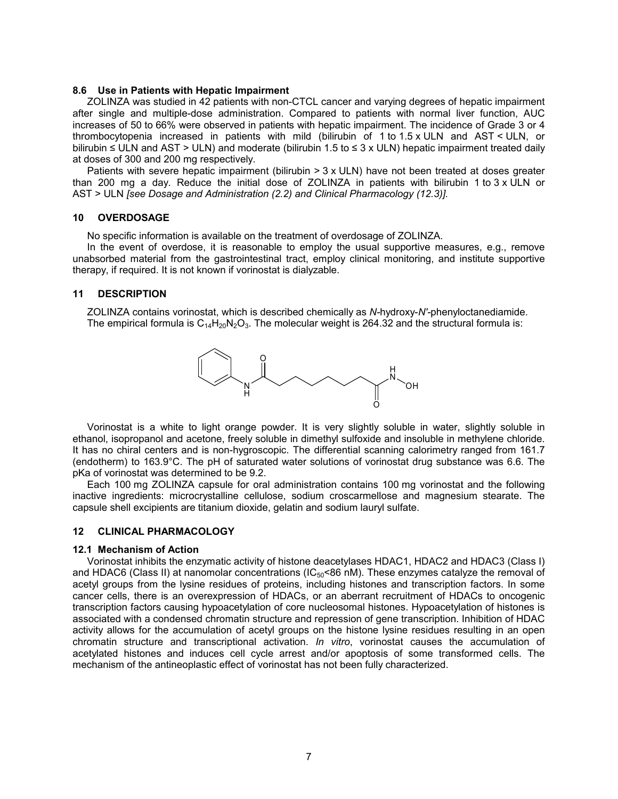#### **8.6 Use in Patients with Hepatic Impairment**

ZOLINZA was studied in 42 patients with non-CTCL cancer and varying degrees of hepatic impairment after single and multiple-dose administration. Compared to patients with normal liver function, AUC increases of 50 to 66% were observed in patients with hepatic impairment. The incidence of Grade 3 or 4 thrombocytopenia increased in patients with mild (bilirubin of 1 to 1.5 x ULN and AST < ULN, or bilirubin ≤ ULN and AST > ULN) and moderate (bilirubin 1.5 to ≤ 3 x ULN) hepatic impairment treated daily at doses of 300 and 200 mg respectively.

Patients with severe hepatic impairment (bilirubin  $>$  3 x ULN) have not been treated at doses greater than 200 mg a day. Reduce the initial dose of ZOLINZA in patients with bilirubin 1 to  $3 \times$  ULN or AST > ULN *[see Dosage and Administration (2.2) and Clinical Pharmacology (12.3)].*

#### **10 OVERDOSAGE**

No specific information is available on the treatment of overdosage of ZOLINZA.

In the event of overdose, it is reasonable to employ the usual supportive measures, e.g., remove unabsorbed material from the gastrointestinal tract, employ clinical monitoring, and institute supportive therapy, if required. It is not known if vorinostat is dialyzable.

### **11 DESCRIPTION**

ZOLINZA contains vorinostat, which is described chemically as *N-*hydroxy-*N'-*phenyloctanediamide. The empirical formula is  $C_{14}H_{20}N_2O_3$ . The molecular weight is 264.32 and the structural formula is:



Vorinostat is a white to light orange powder. It is very slightly soluble in water, slightly soluble in ethanol, isopropanol and acetone, freely soluble in dimethyl sulfoxide and insoluble in methylene chloride. It has no chiral centers and is non-hygroscopic. The differential scanning calorimetry ranged from 161.7 (endotherm) to 163.9°C. The pH of saturated water solutions of vorinostat drug substance was 6.6. The pKa of vorinostat was determined to be 9.2.

Each 100 mg ZOLINZA capsule for oral administration contains 100 mg vorinostat and the following inactive ingredients: microcrystalline cellulose, sodium croscarmellose and magnesium stearate. The capsule shell excipients are titanium dioxide, gelatin and sodium lauryl sulfate.

#### **12 CLINICAL PHARMACOLOGY**

#### **12.1 Mechanism of Action**

Vorinostat inhibits the enzymatic activity of histone deacetylases HDAC1, HDAC2 and HDAC3 (Class I) and HDAC6 (Class II) at nanomolar concentrations ( $IC_{50}$ <86 nM). These enzymes catalyze the removal of acetyl groups from the lysine residues of proteins, including histones and transcription factors. In some cancer cells, there is an overexpression of HDACs, or an aberrant recruitment of HDACs to oncogenic transcription factors causing hypoacetylation of core nucleosomal histones. Hypoacetylation of histones is associated with a condensed chromatin structure and repression of gene transcription. Inhibition of HDAC activity allows for the accumulation of acetyl groups on the histone lysine residues resulting in an open chromatin structure and transcriptional activation. *In vitro*, vorinostat causes the accumulation of acetylated histones and induces cell cycle arrest and/or apoptosis of some transformed cells. The mechanism of the antineoplastic effect of vorinostat has not been fully characterized.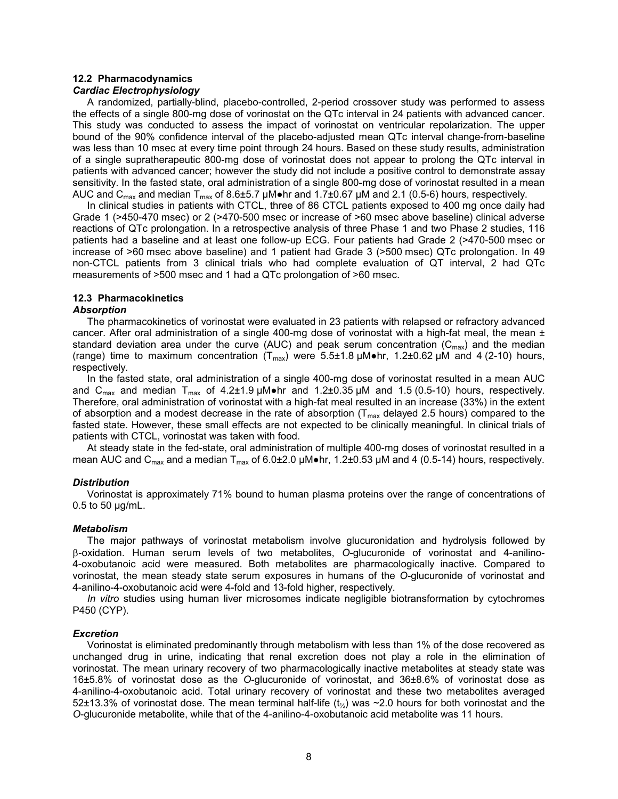# **12.2 Pharmacodynamics**

### *Cardiac Electrophysiology*

A randomized, partially-blind, placebo-controlled, 2-period crossover study was performed to assess the effects of a single 800-mg dose of vorinostat on the QTc interval in 24 patients with advanced cancer. This study was conducted to assess the impact of vorinostat on ventricular repolarization. The upper bound of the 90% confidence interval of the placebo-adjusted mean QTc interval change-from-baseline was less than 10 msec at every time point through 24 hours. Based on these study results, administration of a single supratherapeutic 800-mg dose of vorinostat does not appear to prolong the QTc interval in patients with advanced cancer; however the study did not include a positive control to demonstrate assay sensitivity. In the fasted state, oral administration of a single 800-mg dose of vorinostat resulted in a mean AUC and C<sub>max</sub> and median T<sub>max</sub> of 8.6±5.7  $\mu$ M $\bullet$ hr and 1.7±0.67  $\mu$ M and 2.1 (0.5-6) hours, respectively.

In clinical studies in patients with CTCL, three of 86 CTCL patients exposed to 400 mg once daily had Grade 1 (>450-470 msec) or 2 (>470-500 msec or increase of >60 msec above baseline) clinical adverse reactions of QTc prolongation. In a retrospective analysis of three Phase 1 and two Phase 2 studies, 116 patients had a baseline and at least one follow-up ECG. Four patients had Grade 2 (>470-500 msec or increase of >60 msec above baseline) and 1 patient had Grade 3 (>500 msec) QTc prolongation. In 49 non-CTCL patients from 3 clinical trials who had complete evaluation of QT interval, 2 had QTc measurements of >500 msec and 1 had a QTc prolongation of >60 msec.

# **12.3 Pharmacokinetics**

### *Absorption*

The pharmacokinetics of vorinostat were evaluated in 23 patients with relapsed or refractory advanced cancer. After oral administration of a single 400-mg dose of vorinostat with a high-fat meal, the mean  $\pm$ standard deviation area under the curve (AUC) and peak serum concentration ( $C_{\text{max}}$ ) and the median (range) time to maximum concentration  $(T_{max})$  were 5.5±1.8  $\mu$ M•hr, 1.2±0.62  $\mu$ M and 4 (2-10) hours, respectively.

In the fasted state, oral administration of a single 400-mg dose of vorinostat resulted in a mean AUC and C<sub>max</sub> and median T<sub>max</sub> of 4.2±1.9 µM $\bullet$ hr and 1.2±0.35 µM and 1.5 (0.5-10) hours, respectively. Therefore, oral administration of vorinostat with a high-fat meal resulted in an increase (33%) in the extent of absorption and a modest decrease in the rate of absorption  $(T_{max}$  delayed 2.5 hours) compared to the fasted state. However, these small effects are not expected to be clinically meaningful. In clinical trials of patients with CTCL, vorinostat was taken with food.

At steady state in the fed-state, oral administration of multiple 400-mg doses of vorinostat resulted in a mean AUC and C<sub>max</sub> and a median T<sub>max</sub> of 6.0±2.0 µM $\bullet$ hr, 1.2±0.53 µM and 4 (0.5-14) hours, respectively.

# *Distribution*

Vorinostat is approximately 71% bound to human plasma proteins over the range of concentrations of 0.5 to 50 µg/mL.

# *Metabolism*

The major pathways of vorinostat metabolism involve glucuronidation and hydrolysis followed by -oxidation. Human serum levels of two metabolites, *O*-glucuronide of vorinostat and 4-anilino-4-oxobutanoic acid were measured. Both metabolites are pharmacologically inactive. Compared to vorinostat, the mean steady state serum exposures in humans of the *O*-glucuronide of vorinostat and 4-anilino-4-oxobutanoic acid were 4-fold and 13-fold higher, respectively.

*In vitro* studies using human liver microsomes indicate negligible biotransformation by cytochromes P450 (CYP).

# *Excretion*

Vorinostat is eliminated predominantly through metabolism with less than 1% of the dose recovered as unchanged drug in urine, indicating that renal excretion does not play a role in the elimination of vorinostat. The mean urinary recovery of two pharmacologically inactive metabolites at steady state was 16±5.8% of vorinostat dose as the *O*-glucuronide of vorinostat, and 36±8.6% of vorinostat dose as 4-anilino-4-oxobutanoic acid. Total urinary recovery of vorinostat and these two metabolites averaged 52 $\pm$ 13.3% of vorinostat dose. The mean terminal half-life (t<sub>%</sub>) was ~2.0 hours for both vorinostat and the *O*-glucuronide metabolite, while that of the 4-anilino-4-oxobutanoic acid metabolite was 11 hours.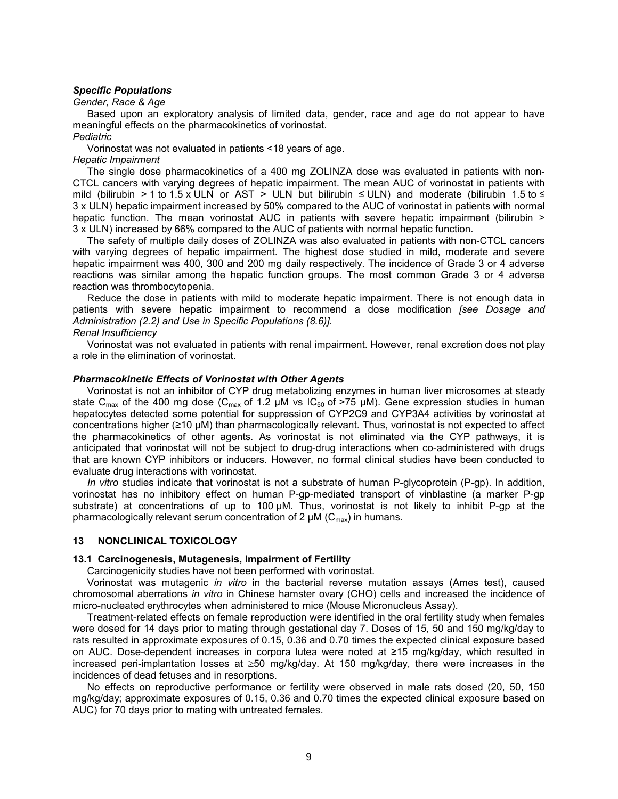# *Specific Populations*

### *Gender, Race & Age*

Based upon an exploratory analysis of limited data, gender, race and age do not appear to have meaningful effects on the pharmacokinetics of vorinostat.

*Pediatric*

Vorinostat was not evaluated in patients <18 years of age.

# *Hepatic Impairment*

The single dose pharmacokinetics of a 400 mg ZOLINZA dose was evaluated in patients with non-CTCL cancers with varying degrees of hepatic impairment. The mean AUC of vorinostat in patients with mild (bilirubin > 1 to 1.5 x ULN or AST > ULN but bilirubin  $≤$  ULN) and moderate (bilirubin 1.5 to  $≤$ 3 x ULN) hepatic impairment increased by 50% compared to the AUC of vorinostat in patients with normal hepatic function. The mean vorinostat AUC in patients with severe hepatic impairment (bilirubin > 3 x ULN) increased by 66% compared to the AUC of patients with normal hepatic function.

The safety of multiple daily doses of ZOLINZA was also evaluated in patients with non-CTCL cancers with varying degrees of hepatic impairment. The highest dose studied in mild, moderate and severe hepatic impairment was 400, 300 and 200 mg daily respectively. The incidence of Grade 3 or 4 adverse reactions was similar among the hepatic function groups. The most common Grade 3 or 4 adverse reaction was thrombocytopenia.

Reduce the dose in patients with mild to moderate hepatic impairment. There is not enough data in patients with severe hepatic impairment to recommend a dose modification *[see Dosage and Administration (2.2) and Use in Specific Populations (8.6)].*

#### *Renal Insufficiency*

Vorinostat was not evaluated in patients with renal impairment. However, renal excretion does not play a role in the elimination of vorinostat.

#### *Pharmacokinetic Effects of Vorinostat with Other Agents*

Vorinostat is not an inhibitor of CYP drug metabolizing enzymes in human liver microsomes at steady state C<sub>max</sub> of the 400 mg dose (C<sub>max</sub> of 1.2 µM vs IC<sub>50</sub> of >75 µM). Gene expression studies in human hepatocytes detected some potential for suppression of CYP2C9 and CYP3A4 activities by vorinostat at concentrations higher (≥10 µM) than pharmacologically relevant. Thus, vorinostat is not expected to affect the pharmacokinetics of other agents. As vorinostat is not eliminated via the CYP pathways, it is anticipated that vorinostat will not be subject to drug-drug interactions when co-administered with drugs that are known CYP inhibitors or inducers. However, no formal clinical studies have been conducted to evaluate drug interactions with vorinostat.

*In vitro* studies indicate that vorinostat is not a substrate of human P-glycoprotein (P-gp). In addition, vorinostat has no inhibitory effect on human P-gp-mediated transport of vinblastine (a marker P-gp substrate) at concentrations of up to 100 μM. Thus, vorinostat is not likely to inhibit P-gp at the pharmacologically relevant serum concentration of 2  $\mu$ M ( $C_{\text{max}}$ ) in humans.

#### **13 NONCLINICAL TOXICOLOGY**

#### **13.1 Carcinogenesis, Mutagenesis, Impairment of Fertility**

Carcinogenicity studies have not been performed with vorinostat.

Vorinostat was mutagenic *in vitro* in the bacterial reverse mutation assays (Ames test), caused chromosomal aberrations *in vitro* in Chinese hamster ovary (CHO) cells and increased the incidence of micro-nucleated erythrocytes when administered to mice (Mouse Micronucleus Assay).

Treatment-related effects on female reproduction were identified in the oral fertility study when females were dosed for 14 days prior to mating through gestational day 7. Doses of 15, 50 and 150 mg/kg/day to rats resulted in approximate exposures of 0.15, 0.36 and 0.70 times the expected clinical exposure based on AUC. Dose-dependent increases in corpora lutea were noted at ≥15 mg/kg/day, which resulted in increased peri-implantation losses at  $\geq 50$  mg/kg/day. At 150 mg/kg/day, there were increases in the incidences of dead fetuses and in resorptions.

No effects on reproductive performance or fertility were observed in male rats dosed (20, 50, 150 mg/kg/day; approximate exposures of 0.15, 0.36 and 0.70 times the expected clinical exposure based on AUC) for 70 days prior to mating with untreated females.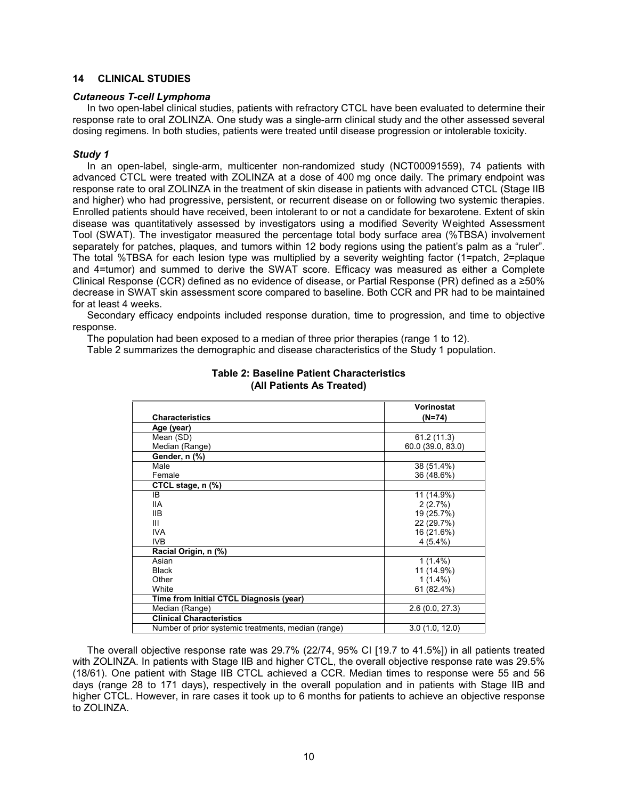### **14 CLINICAL STUDIES**

### *Cutaneous T-cell Lymphoma*

In two open-label clinical studies, patients with refractory CTCL have been evaluated to determine their response rate to oral ZOLINZA. One study was a single-arm clinical study and the other assessed several dosing regimens. In both studies, patients were treated until disease progression or intolerable toxicity.

### *Study 1*

In an open-label, single-arm, multicenter non-randomized study (NCT00091559), 74 patients with advanced CTCL were treated with ZOLINZA at a dose of 400 mg once daily. The primary endpoint was response rate to oral ZOLINZA in the treatment of skin disease in patients with advanced CTCL (Stage IIB and higher) who had progressive, persistent, or recurrent disease on or following two systemic therapies. Enrolled patients should have received, been intolerant to or not a candidate for bexarotene. Extent of skin disease was quantitatively assessed by investigators using a modified Severity Weighted Assessment Tool (SWAT). The investigator measured the percentage total body surface area (%TBSA) involvement separately for patches, plaques, and tumors within 12 body regions using the patient's palm as a "ruler". The total %TBSA for each lesion type was multiplied by a severity weighting factor (1=patch, 2=plaque and 4=tumor) and summed to derive the SWAT score. Efficacy was measured as either a Complete Clinical Response (CCR) defined as no evidence of disease, or Partial Response (PR) defined as a ≥50% decrease in SWAT skin assessment score compared to baseline. Both CCR and PR had to be maintained for at least 4 weeks.

Secondary efficacy endpoints included response duration, time to progression, and time to objective response.

The population had been exposed to a median of three prior therapies (range 1 to 12).

Table 2 summarizes the demographic and disease characteristics of the Study 1 population.

|                                                     | <b>Vorinostat</b> |
|-----------------------------------------------------|-------------------|
| <b>Characteristics</b>                              | $(N=74)$          |
| Age (year)                                          |                   |
| Mean (SD)                                           | 61.2(11.3)        |
| Median (Range)                                      | 60.0 (39.0, 83.0) |
| Gender, n (%)                                       |                   |
| Male                                                | 38 (51.4%)        |
| Female                                              | 36 (48.6%)        |
| CTCL stage, n (%)                                   |                   |
| IB                                                  | 11 (14.9%)        |
| IIA                                                 | 2(2.7%)           |
| IIB.                                                | 19 (25.7%)        |
| Ш                                                   | 22 (29.7%)        |
| <b>IVA</b>                                          | 16 (21.6%)        |
| IVB                                                 | $4(5.4\%)$        |
| Racial Origin, n (%)                                |                   |
| Asian                                               | $1(1.4\%)$        |
| <b>Black</b>                                        | 11 (14.9%)        |
| Other                                               | $1(1.4\%)$        |
| White                                               | 61 (82.4%)        |
| Time from Initial CTCL Diagnosis (year)             |                   |
| Median (Range)                                      | 2.6(0.0, 27.3)    |
| <b>Clinical Characteristics</b>                     |                   |
| Number of prior systemic treatments, median (range) | 3.0(1.0, 12.0)    |

# **Table 2: Baseline Patient Characteristics (All Patients As Treated)**

The overall objective response rate was 29.7% (22/74, 95% CI [19.7 to 41.5%]) in all patients treated with ZOLINZA. In patients with Stage IIB and higher CTCL, the overall objective response rate was 29.5% (18/61). One patient with Stage IIB CTCL achieved a CCR. Median times to response were 55 and 56 days (range 28 to 171 days), respectively in the overall population and in patients with Stage IIB and higher CTCL. However, in rare cases it took up to 6 months for patients to achieve an objective response to ZOLINZA.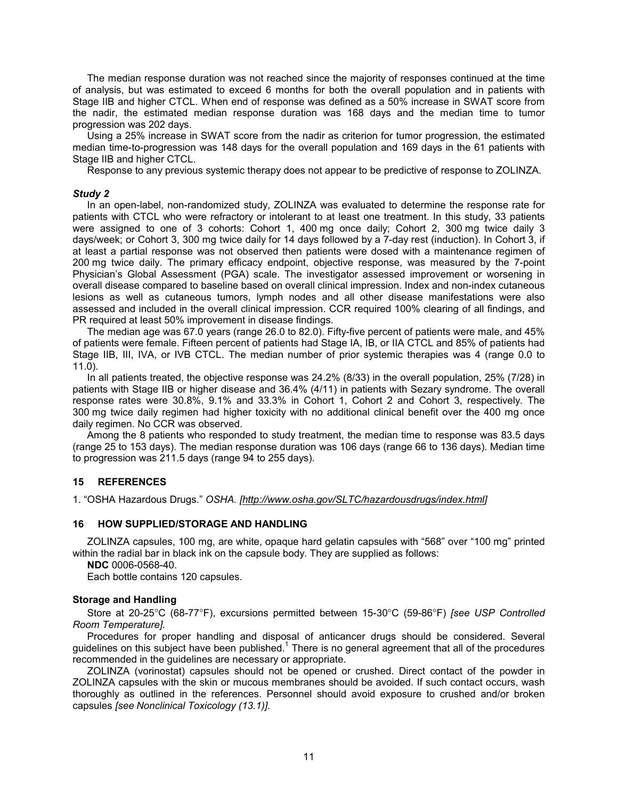The median response duration was not reached since the majority of responses continued at the time of analysis, but was estimated to exceed 6 months for both the overall population and in patients with Stage IIB and higher CTCL. When end of response was defined as a 50% increase in SWAT score from the nadir, the estimated median response duration was 168 days and the median time to tumor progression was 202 days.

Using a 25% increase in SWAT score from the nadir as criterion for tumor progression, the estimated median time-to-progression was 148 days for the overall population and 169 days in the 61 patients with Stage IIB and higher CTCL.

Response to any previous systemic therapy does not appear to be predictive of response to ZOLINZA.

### *Study 2*

In an open-label, non-randomized study, ZOLINZA was evaluated to determine the response rate for patients with CTCL who were refractory or intolerant to at least one treatment. In this study, 33 patients were assigned to one of 3 cohorts: Cohort 1, 400 mg once daily; Cohort 2, 300 mg twice daily 3 days/week; or Cohort 3, 300 mg twice daily for 14 days followed by a 7-day rest (induction). In Cohort 3, if at least a partial response was not observed then patients were dosed with a maintenance regimen of 200 mg twice daily. The primary efficacy endpoint, objective response, was measured by the 7-point Physician's Global Assessment (PGA) scale. The investigator assessed improvement or worsening in overall disease compared to baseline based on overall clinical impression. Index and non-index cutaneous lesions as well as cutaneous tumors, lymph nodes and all other disease manifestations were also assessed and included in the overall clinical impression. CCR required 100% clearing of all findings, and PR required at least 50% improvement in disease findings.

The median age was 67.0 years (range 26.0 to 82.0). Fifty-five percent of patients were male, and 45% of patients were female. Fifteen percent of patients had Stage IA, IB, or IIA CTCL and 85% of patients had Stage IIB, III, IVA, or IVB CTCL. The median number of prior systemic therapies was 4 (range 0.0 to 11.0).

In all patients treated, the objective response was 24.2% (8/33) in the overall population, 25% (7/28) in patients with Stage IIB or higher disease and 36.4% (4/11) in patients with Sezary syndrome. The overall response rates were 30.8%, 9.1% and 33.3% in Cohort 1, Cohort 2 and Cohort 3, respectively. The 300 mg twice daily regimen had higher toxicity with no additional clinical benefit over the 400 mg once daily regimen. No CCR was observed.

Among the 8 patients who responded to study treatment, the median time to response was 83.5 days (range 25 to 153 days). The median response duration was 106 days (range 66 to 136 days). Median time to progression was 211.5 days (range 94 to 255 days).

# **15 REFERENCES**

1. "OSHA Hazardous Drugs." *OSHA. [http://www.osha.gov/SLTC/hazardousdrugs/index.html]*

# **16 HOW SUPPLIED/STORAGE AND HANDLING**

ZOLINZA capsules, 100 mg, are white, opaque hard gelatin capsules with "568" over "100 mg" printed within the radial bar in black ink on the capsule body. They are supplied as follows:

**NDC** 0006-0568-40.

Each bottle contains 120 capsules.

#### **Storage and Handling**

Store at 20-25°C (68-77°F), excursions permitted between 15-30°C (59-86°F) *[see USP Controlled Room Temperature].*

Procedures for proper handling and disposal of anticancer drugs should be considered. Several guidelines on this subject have been published.<sup>1</sup> There is no general agreement that all of the procedures recommended in the guidelines are necessary or appropriate.

ZOLINZA (vorinostat) capsules should not be opened or crushed. Direct contact of the powder in ZOLINZA capsules with the skin or mucous membranes should be avoided. If such contact occurs, wash thoroughly as outlined in the references. Personnel should avoid exposure to crushed and/or broken capsules *[see Nonclinical Toxicology (13.1)].*